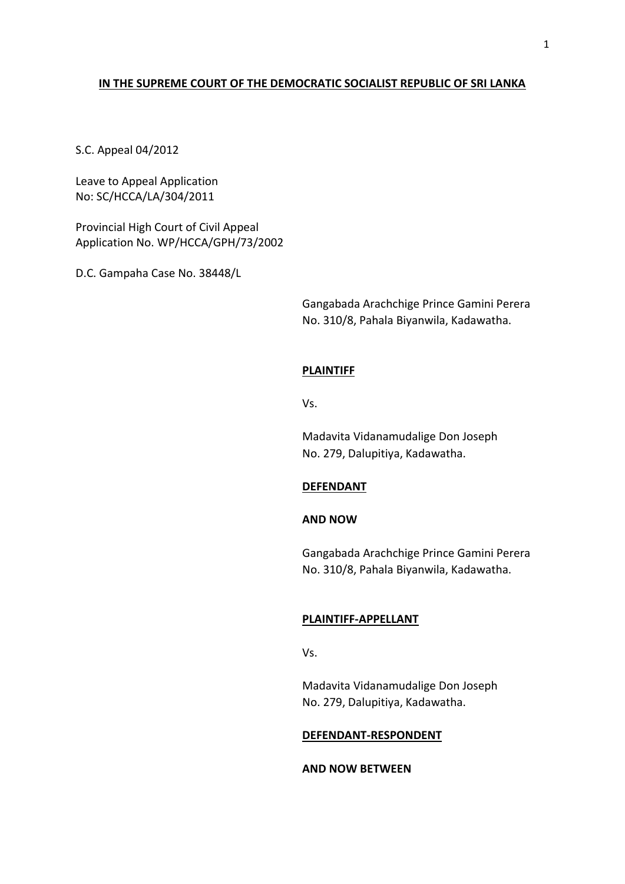# **IN THE SUPREME COURT OF THE DEMOCRATIC SOCIALIST REPUBLIC OF SRI LANKA**

S.C. Appeal 04/2012

Leave to Appeal Application No: SC/HCCA/LA/304/2011

Provincial High Court of Civil Appeal Application No. WP/HCCA/GPH/73/2002

D.C. Gampaha Case No. 38448/L

Gangabada Arachchige Prince Gamini Perera No. 310/8, Pahala Biyanwila, Kadawatha.

#### **PLAINTIFF**

Vs.

Madavita Vidanamudalige Don Joseph No. 279, Dalupitiya, Kadawatha.

### **DEFENDANT**

## **AND NOW**

Gangabada Arachchige Prince Gamini Perera No. 310/8, Pahala Biyanwila, Kadawatha.

### **PLAINTIFF-APPELLANT**

Vs.

Madavita Vidanamudalige Don Joseph No. 279, Dalupitiya, Kadawatha.

#### **DEFENDANT-RESPONDENT**

## **AND NOW BETWEEN**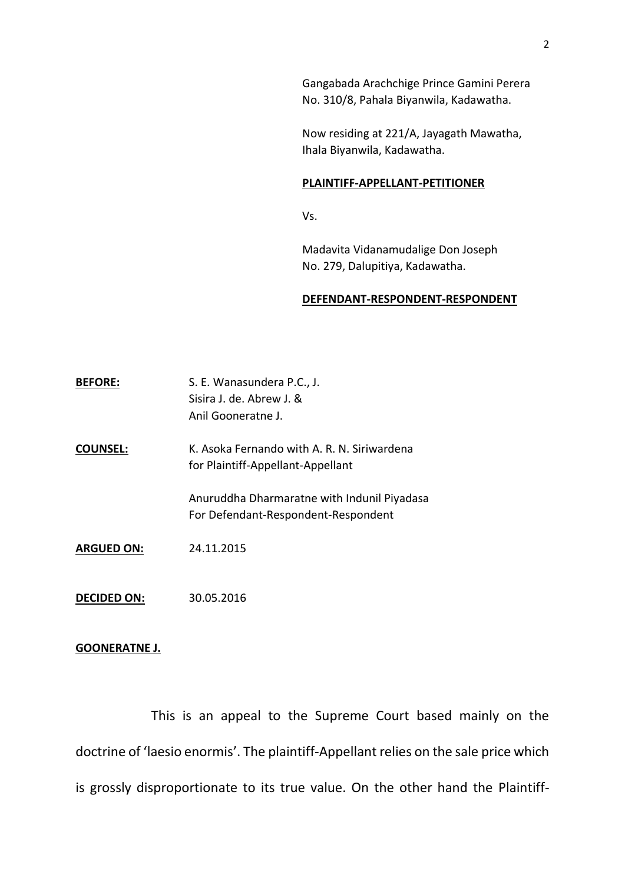Gangabada Arachchige Prince Gamini Perera No. 310/8, Pahala Biyanwila, Kadawatha.

Now residing at 221/A, Jayagath Mawatha, Ihala Biyanwila, Kadawatha.

#### **PLAINTIFF-APPELLANT-PETITIONER**

Vs.

Madavita Vidanamudalige Don Joseph No. 279, Dalupitiya, Kadawatha.

### **DEFENDANT-RESPONDENT-RESPONDENT**

| <b>BEFORE:</b>    | S. E. Wanasundera P.C., J.<br>Sisira J. de. Abrew J. &<br>Anil Gooneratne J.       |
|-------------------|------------------------------------------------------------------------------------|
| <b>COUNSEL:</b>   | K. Asoka Fernando with A. R. N. Siriwardena<br>for Plaintiff-Appellant-Appellant   |
|                   | Anuruddha Dharmaratne with Indunil Piyadasa<br>For Defendant-Respondent-Respondent |
| <b>ARGUED ON:</b> | 24.11.2015                                                                         |

**DECIDED ON:** 30.05.2016

## **GOONERATNE J.**

This is an appeal to the Supreme Court based mainly on the doctrine of 'laesio enormis'. The plaintiff-Appellant relies on the sale price which is grossly disproportionate to its true value. On the other hand the Plaintiff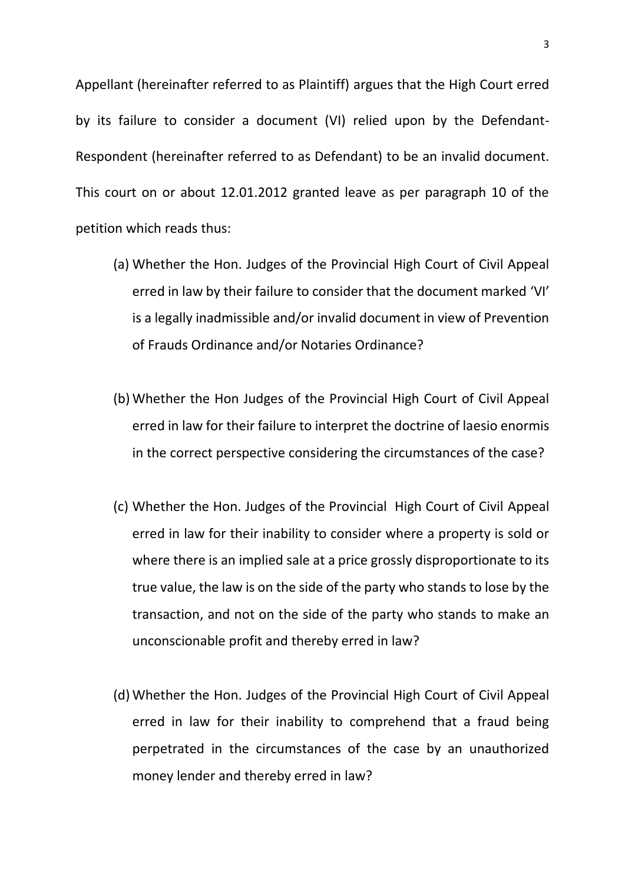Appellant (hereinafter referred to as Plaintiff) argues that the High Court erred by its failure to consider a document (VI) relied upon by the Defendant-Respondent (hereinafter referred to as Defendant) to be an invalid document. This court on or about 12.01.2012 granted leave as per paragraph 10 of the petition which reads thus:

- (a) Whether the Hon. Judges of the Provincial High Court of Civil Appeal erred in law by their failure to consider that the document marked 'VI' is a legally inadmissible and/or invalid document in view of Prevention of Frauds Ordinance and/or Notaries Ordinance?
- (b) Whether the Hon Judges of the Provincial High Court of Civil Appeal erred in law for their failure to interpret the doctrine of laesio enormis in the correct perspective considering the circumstances of the case?
- (c) Whether the Hon. Judges of the Provincial High Court of Civil Appeal erred in law for their inability to consider where a property is sold or where there is an implied sale at a price grossly disproportionate to its true value, the law is on the side of the party who stands to lose by the transaction, and not on the side of the party who stands to make an unconscionable profit and thereby erred in law?
- (d) Whether the Hon. Judges of the Provincial High Court of Civil Appeal erred in law for their inability to comprehend that a fraud being perpetrated in the circumstances of the case by an unauthorized money lender and thereby erred in law?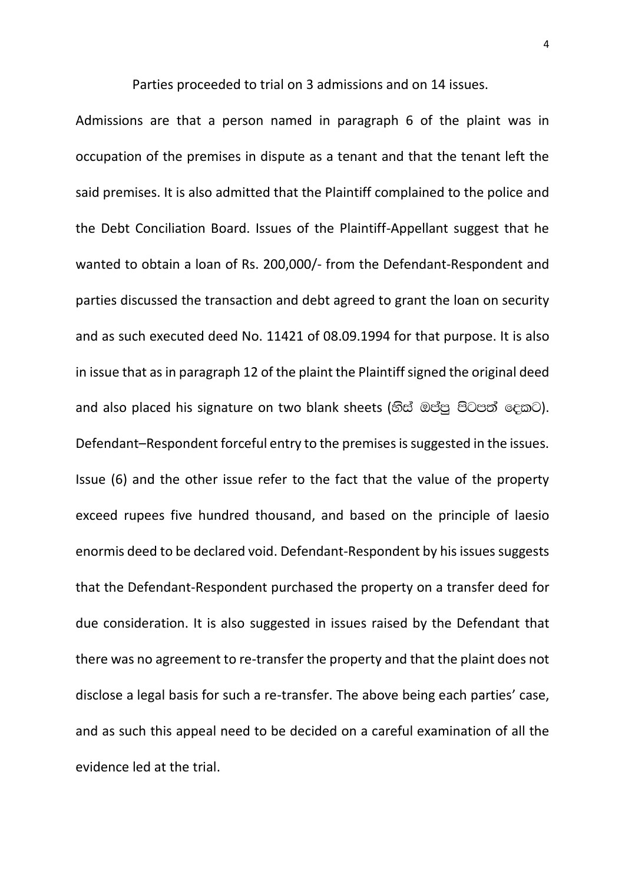Parties proceeded to trial on 3 admissions and on 14 issues.

Admissions are that a person named in paragraph 6 of the plaint was in occupation of the premises in dispute as a tenant and that the tenant left the said premises. It is also admitted that the Plaintiff complained to the police and the Debt Conciliation Board. Issues of the Plaintiff-Appellant suggest that he wanted to obtain a loan of Rs. 200,000/- from the Defendant-Respondent and parties discussed the transaction and debt agreed to grant the loan on security and as such executed deed No. 11421 of 08.09.1994 for that purpose. It is also in issue that as in paragraph 12 of the plaint the Plaintiff signed the original deed and also placed his signature on two blank sheets (හිස් ඔප්පු පිටපත් දෙකට). Defendant–Respondent forceful entry to the premises is suggested in the issues. Issue (6) and the other issue refer to the fact that the value of the property exceed rupees five hundred thousand, and based on the principle of laesio enormis deed to be declared void. Defendant-Respondent by his issues suggests that the Defendant-Respondent purchased the property on a transfer deed for due consideration. It is also suggested in issues raised by the Defendant that there was no agreement to re-transfer the property and that the plaint does not disclose a legal basis for such a re-transfer. The above being each parties' case, and as such this appeal need to be decided on a careful examination of all the evidence led at the trial.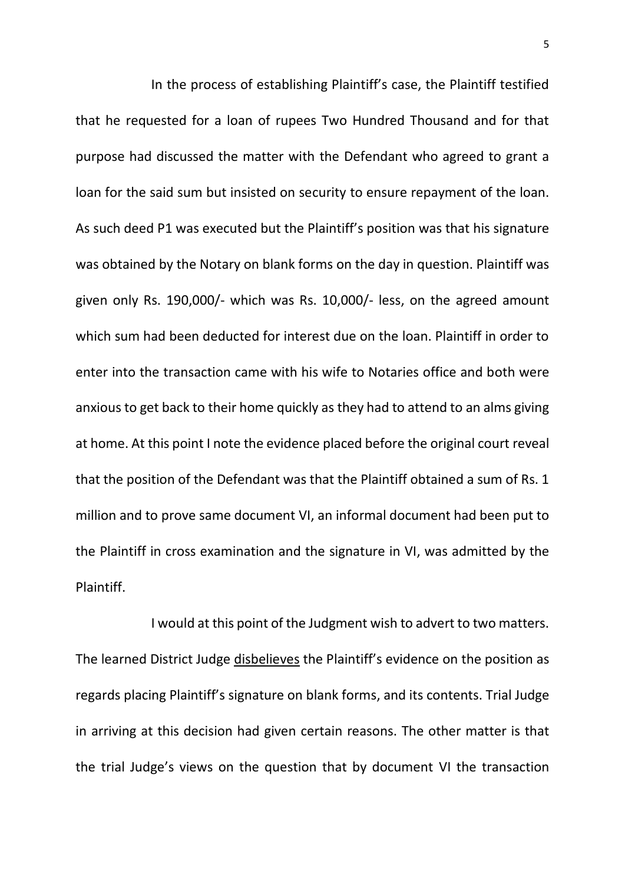In the process of establishing Plaintiff's case, the Plaintiff testified that he requested for a loan of rupees Two Hundred Thousand and for that purpose had discussed the matter with the Defendant who agreed to grant a loan for the said sum but insisted on security to ensure repayment of the loan. As such deed P1 was executed but the Plaintiff's position was that his signature was obtained by the Notary on blank forms on the day in question. Plaintiff was given only Rs. 190,000/- which was Rs. 10,000/- less, on the agreed amount which sum had been deducted for interest due on the loan. Plaintiff in order to enter into the transaction came with his wife to Notaries office and both were anxious to get back to their home quickly as they had to attend to an alms giving at home. At this point I note the evidence placed before the original court reveal that the position of the Defendant was that the Plaintiff obtained a sum of Rs. 1 million and to prove same document VI, an informal document had been put to the Plaintiff in cross examination and the signature in VI, was admitted by the Plaintiff.

I would at this point of the Judgment wish to advert to two matters. The learned District Judge disbelieves the Plaintiff's evidence on the position as regards placing Plaintiff's signature on blank forms, and its contents. Trial Judge in arriving at this decision had given certain reasons. The other matter is that the trial Judge's views on the question that by document VI the transaction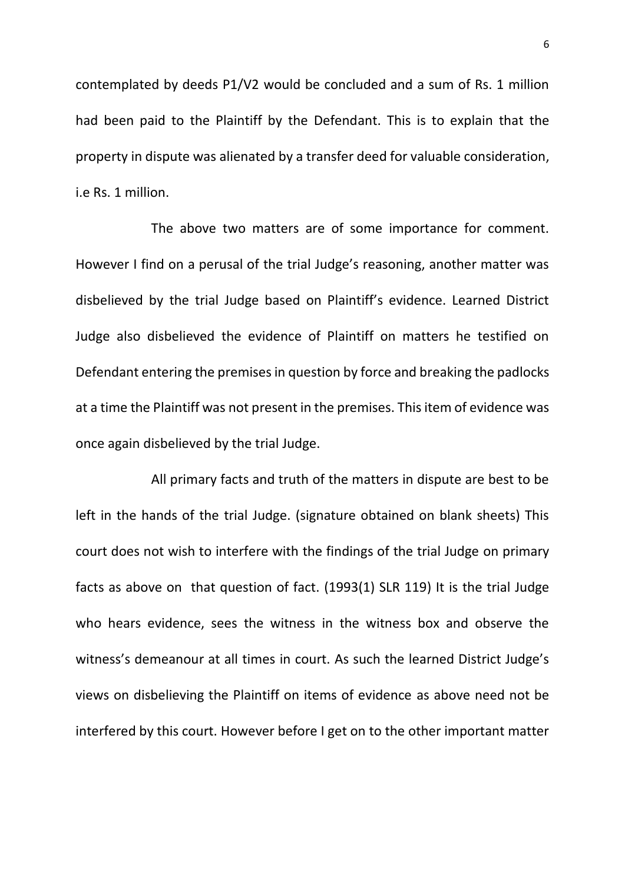contemplated by deeds P1/V2 would be concluded and a sum of Rs. 1 million had been paid to the Plaintiff by the Defendant. This is to explain that the property in dispute was alienated by a transfer deed for valuable consideration, i.e Rs. 1 million.

The above two matters are of some importance for comment. However I find on a perusal of the trial Judge's reasoning, another matter was disbelieved by the trial Judge based on Plaintiff's evidence. Learned District Judge also disbelieved the evidence of Plaintiff on matters he testified on Defendant entering the premises in question by force and breaking the padlocks at a time the Plaintiff was not present in the premises. This item of evidence was once again disbelieved by the trial Judge.

All primary facts and truth of the matters in dispute are best to be left in the hands of the trial Judge. (signature obtained on blank sheets) This court does not wish to interfere with the findings of the trial Judge on primary facts as above on that question of fact. (1993(1) SLR 119) It is the trial Judge who hears evidence, sees the witness in the witness box and observe the witness's demeanour at all times in court. As such the learned District Judge's views on disbelieving the Plaintiff on items of evidence as above need not be interfered by this court. However before I get on to the other important matter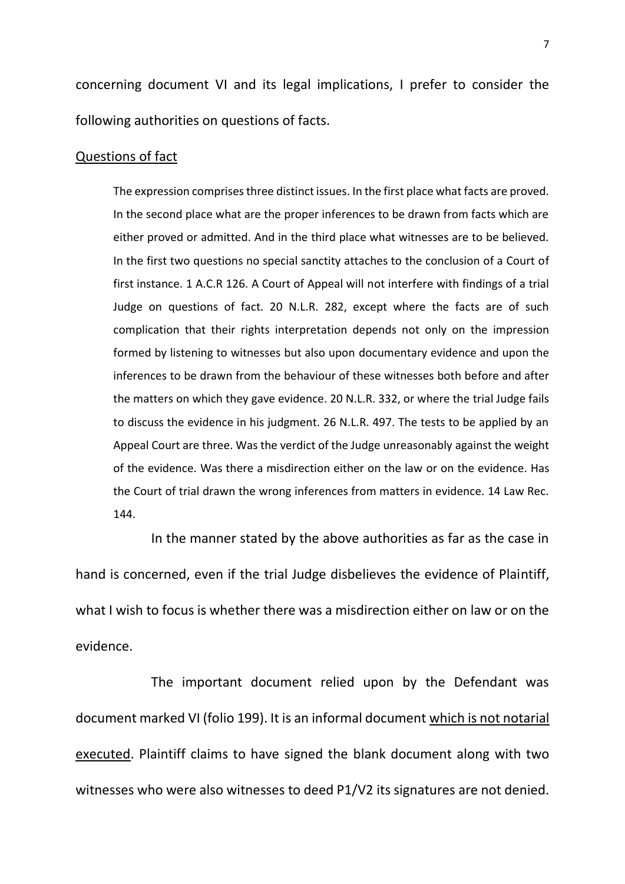concerning document VI and its legal implications, I prefer to consider the following authorities on questions of facts.

## Questions of fact

The expression comprises three distinct issues. In the first place what facts are proved. In the second place what are the proper inferences to be drawn from facts which are either proved or admitted. And in the third place what witnesses are to be believed. In the first two questions no special sanctity attaches to the conclusion of a Court of first instance. 1 A.C.R 126. A Court of Appeal will not interfere with findings of a trial Judge on questions of fact. 20 N.L.R. 282, except where the facts are of such complication that their rights interpretation depends not only on the impression formed by listening to witnesses but also upon documentary evidence and upon the inferences to be drawn from the behaviour of these witnesses both before and after the matters on which they gave evidence. 20 N.L.R. 332, or where the trial Judge fails to discuss the evidence in his judgment. 26 N.L.R. 497. The tests to be applied by an Appeal Court are three. Was the verdict of the Judge unreasonably against the weight of the evidence. Was there a misdirection either on the law or on the evidence. Has the Court of trial drawn the wrong inferences from matters in evidence. 14 Law Rec. 144.

In the manner stated by the above authorities as far as the case in hand is concerned, even if the trial Judge disbelieves the evidence of Plaintiff, what I wish to focus is whether there was a misdirection either on law or on the evidence.

The important document relied upon by the Defendant was document marked VI (folio 199). It is an informal document which is not notarial executed. Plaintiff claims to have signed the blank document along with two witnesses who were also witnesses to deed P1/V2 its signatures are not denied.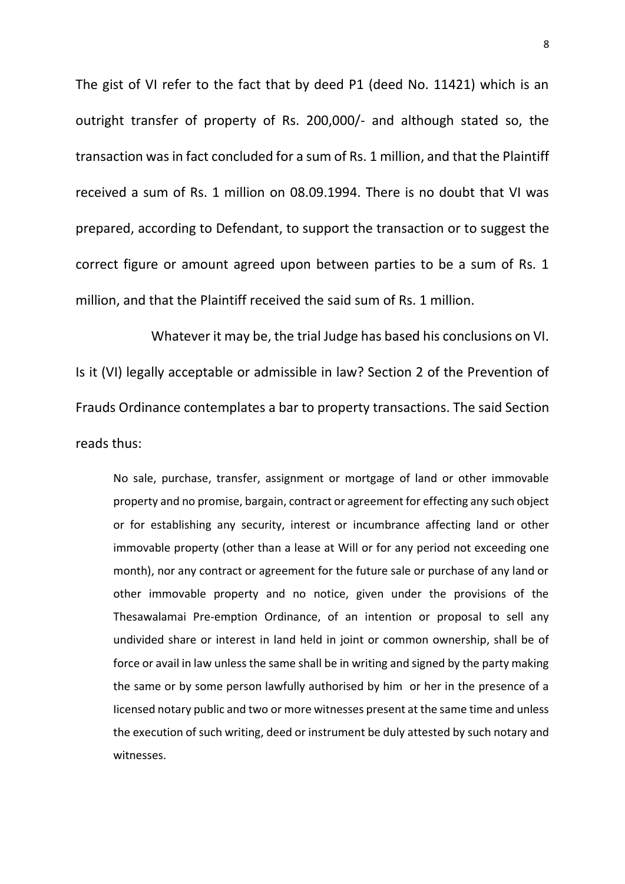The gist of VI refer to the fact that by deed P1 (deed No. 11421) which is an outright transfer of property of Rs. 200,000/- and although stated so, the transaction was in fact concluded for a sum of Rs. 1 million, and that the Plaintiff received a sum of Rs. 1 million on 08.09.1994. There is no doubt that VI was prepared, according to Defendant, to support the transaction or to suggest the correct figure or amount agreed upon between parties to be a sum of Rs. 1 million, and that the Plaintiff received the said sum of Rs. 1 million.

Whatever it may be, the trial Judge has based his conclusions on VI. Is it (VI) legally acceptable or admissible in law? Section 2 of the Prevention of Frauds Ordinance contemplates a bar to property transactions. The said Section reads thus:

No sale, purchase, transfer, assignment or mortgage of land or other immovable property and no promise, bargain, contract or agreement for effecting any such object or for establishing any security, interest or incumbrance affecting land or other immovable property (other than a lease at Will or for any period not exceeding one month), nor any contract or agreement for the future sale or purchase of any land or other immovable property and no notice, given under the provisions of the Thesawalamai Pre-emption Ordinance, of an intention or proposal to sell any undivided share or interest in land held in joint or common ownership, shall be of force or avail in law unless the same shall be in writing and signed by the party making the same or by some person lawfully authorised by him or her in the presence of a Iicensed notary public and two or more witnesses present at the same time and unless the execution of such writing, deed or instrument be duly attested by such notary and witnesses.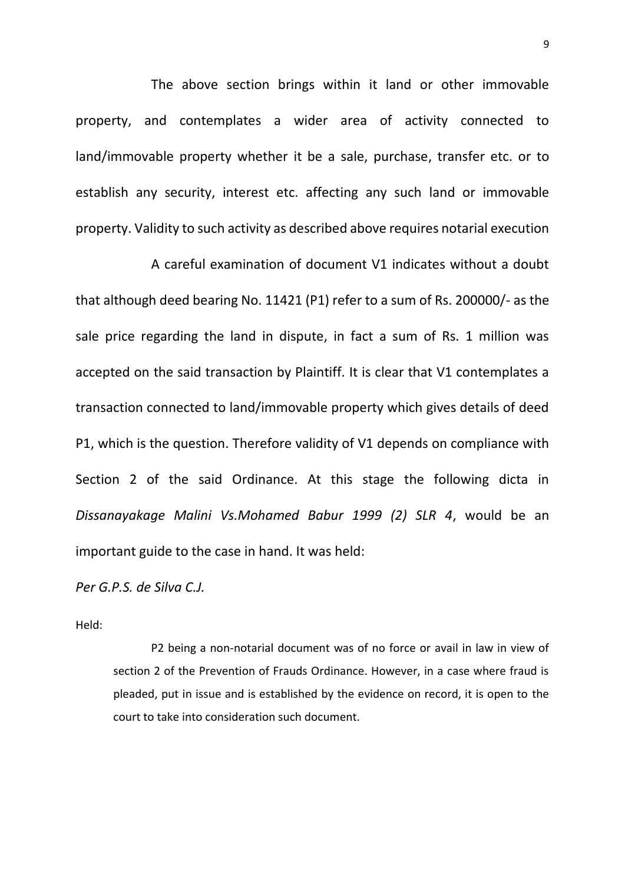The above section brings within it land or other immovable property, and contemplates a wider area of activity connected to land/immovable property whether it be a sale, purchase, transfer etc. or to establish any security, interest etc. affecting any such land or immovable property. Validity to such activity as described above requires notarial execution

A careful examination of document V1 indicates without a doubt that although deed bearing No. 11421 (P1) refer to a sum of Rs. 200000/- as the sale price regarding the land in dispute, in fact a sum of Rs. 1 million was accepted on the said transaction by Plaintiff. It is clear that V1 contemplates a transaction connected to land/immovable property which gives details of deed P1, which is the question. Therefore validity of V1 depends on compliance with Section 2 of the said Ordinance. At this stage the following dicta in *Dissanayakage Malini Vs.Mohamed Babur 1999 (2) SLR 4*, would be an important guide to the case in hand. It was held:

*Per G.P.S. de Silva C.J.*

Held:

P2 being a non-notarial document was of no force or avail in law in view of section 2 of the Prevention of Frauds Ordinance. However, in a case where fraud is pleaded, put in issue and is established by the evidence on record, it is open to the court to take into consideration such document.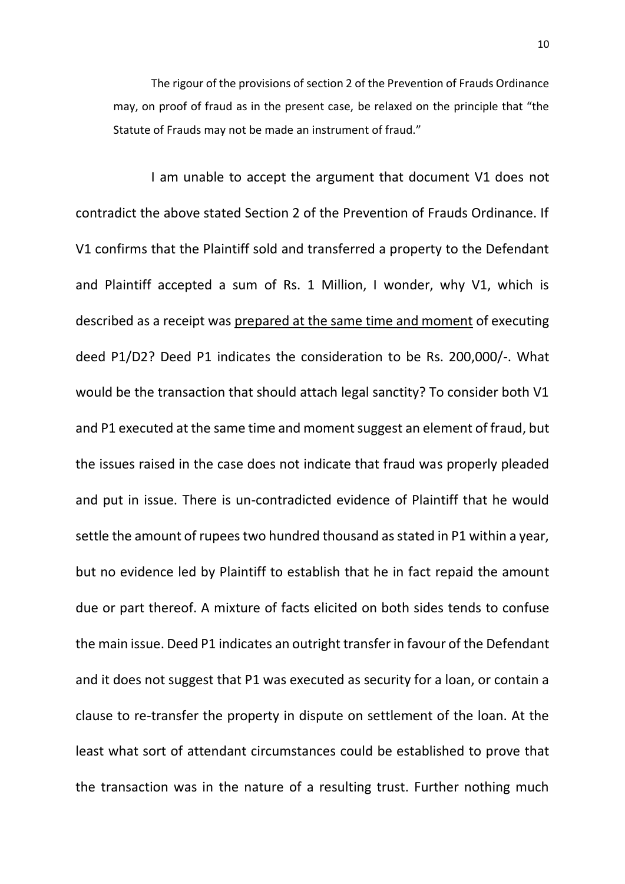The rigour of the provisions of section 2 of the Prevention of Frauds Ordinance may, on proof of fraud as in the present case, be relaxed on the principle that "the Statute of Frauds may not be made an instrument of fraud."

I am unable to accept the argument that document V1 does not contradict the above stated Section 2 of the Prevention of Frauds Ordinance. If V1 confirms that the Plaintiff sold and transferred a property to the Defendant and Plaintiff accepted a sum of Rs. 1 Million, I wonder, why V1, which is described as a receipt was prepared at the same time and moment of executing deed P1/D2? Deed P1 indicates the consideration to be Rs. 200,000/-. What would be the transaction that should attach legal sanctity? To consider both V1 and P1 executed at the same time and moment suggest an element of fraud, but the issues raised in the case does not indicate that fraud was properly pleaded and put in issue. There is un-contradicted evidence of Plaintiff that he would settle the amount of rupees two hundred thousand as stated in P1 within a year, but no evidence led by Plaintiff to establish that he in fact repaid the amount due or part thereof. A mixture of facts elicited on both sides tends to confuse the main issue. Deed P1 indicates an outright transfer in favour of the Defendant and it does not suggest that P1 was executed as security for a loan, or contain a clause to re-transfer the property in dispute on settlement of the loan. At the least what sort of attendant circumstances could be established to prove that the transaction was in the nature of a resulting trust. Further nothing much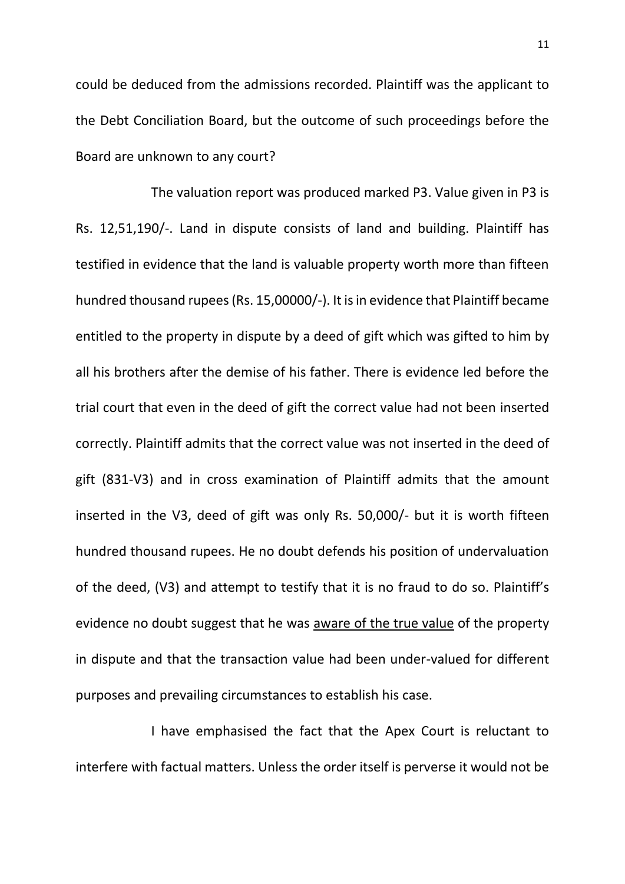could be deduced from the admissions recorded. Plaintiff was the applicant to the Debt Conciliation Board, but the outcome of such proceedings before the Board are unknown to any court?

The valuation report was produced marked P3. Value given in P3 is Rs. 12,51,190/-. Land in dispute consists of land and building. Plaintiff has testified in evidence that the land is valuable property worth more than fifteen hundred thousand rupees (Rs. 15,00000/-). It is in evidence that Plaintiff became entitled to the property in dispute by a deed of gift which was gifted to him by all his brothers after the demise of his father. There is evidence led before the trial court that even in the deed of gift the correct value had not been inserted correctly. Plaintiff admits that the correct value was not inserted in the deed of gift (831-V3) and in cross examination of Plaintiff admits that the amount inserted in the V3, deed of gift was only Rs. 50,000/- but it is worth fifteen hundred thousand rupees. He no doubt defends his position of undervaluation of the deed, (V3) and attempt to testify that it is no fraud to do so. Plaintiff's evidence no doubt suggest that he was aware of the true value of the property in dispute and that the transaction value had been under-valued for different purposes and prevailing circumstances to establish his case.

I have emphasised the fact that the Apex Court is reluctant to interfere with factual matters. Unless the order itself is perverse it would not be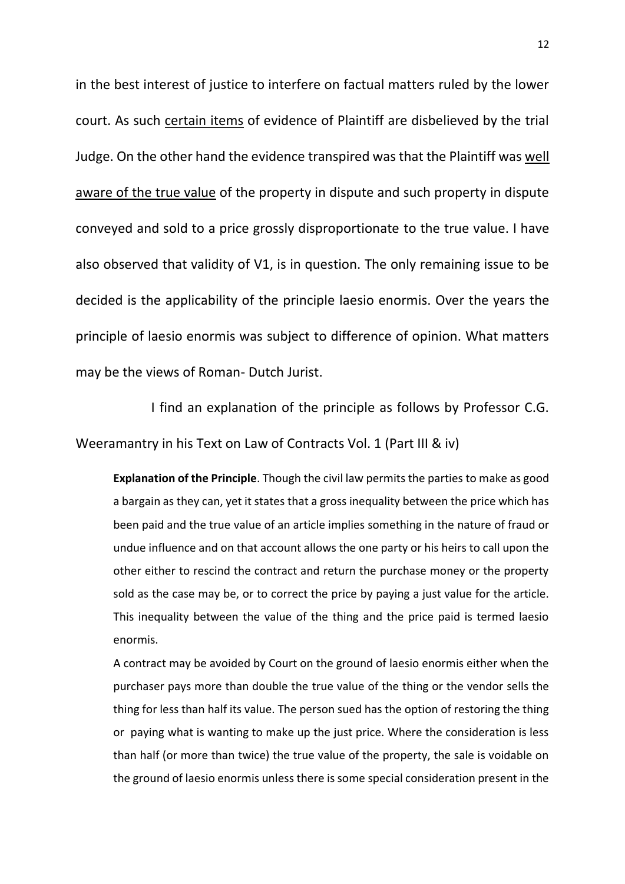in the best interest of justice to interfere on factual matters ruled by the lower court. As such certain items of evidence of Plaintiff are disbelieved by the trial Judge. On the other hand the evidence transpired was that the Plaintiff was well aware of the true value of the property in dispute and such property in dispute conveyed and sold to a price grossly disproportionate to the true value. I have also observed that validity of V1, is in question. The only remaining issue to be decided is the applicability of the principle laesio enormis. Over the years the principle of laesio enormis was subject to difference of opinion. What matters may be the views of Roman- Dutch Jurist.

I find an explanation of the principle as follows by Professor C.G. Weeramantry in his Text on Law of Contracts Vol. 1 (Part III & iv)

**Explanation of the Principle**. Though the civil law permits the parties to make as good a bargain as they can, yet it states that a gross inequality between the price which has been paid and the true value of an article implies something in the nature of fraud or undue influence and on that account allows the one party or his heirs to call upon the other either to rescind the contract and return the purchase money or the property sold as the case may be, or to correct the price by paying a just value for the article. This inequality between the value of the thing and the price paid is termed laesio enormis.

A contract may be avoided by Court on the ground of laesio enormis either when the purchaser pays more than double the true value of the thing or the vendor sells the thing for less than half its value. The person sued has the option of restoring the thing or paying what is wanting to make up the just price. Where the consideration is less than half (or more than twice) the true value of the property, the sale is voidable on the ground of laesio enormis unless there is some special consideration present in the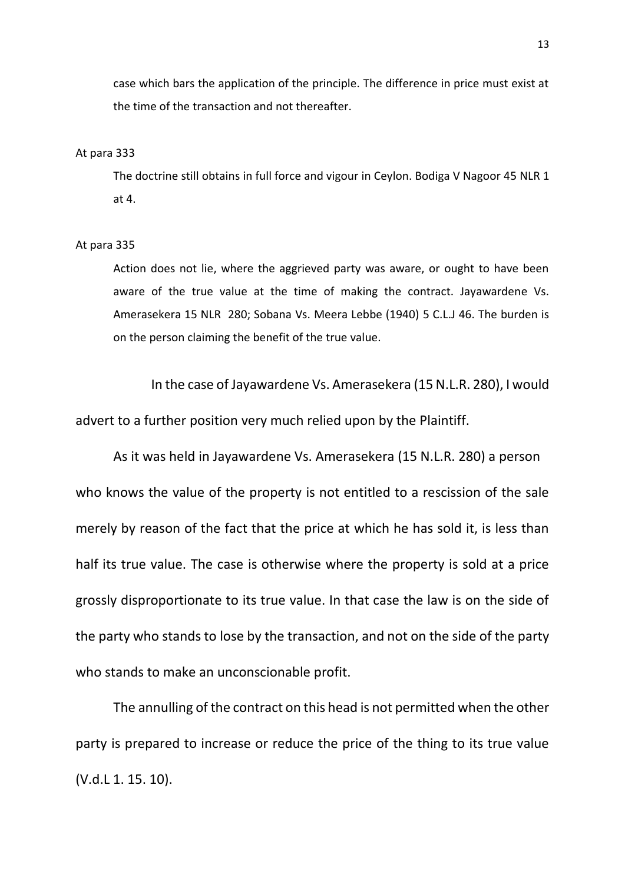case which bars the application of the principle. The difference in price must exist at the time of the transaction and not thereafter.

#### At para 333

The doctrine still obtains in full force and vigour in Ceylon. Bodiga V Nagoor 45 NLR 1 at 4.

#### At para 335

Action does not lie, where the aggrieved party was aware, or ought to have been aware of the true value at the time of making the contract. Jayawardene Vs. Amerasekera 15 NLR 280; Sobana Vs. Meera Lebbe (1940) 5 C.L.J 46. The burden is on the person claiming the benefit of the true value.

In the case of Jayawardene Vs. Amerasekera (15 N.L.R. 280), I would advert to a further position very much relied upon by the Plaintiff.

As it was held in Jayawardene Vs. Amerasekera (15 N.L.R. 280) a person who knows the value of the property is not entitled to a rescission of the sale merely by reason of the fact that the price at which he has sold it, is less than half its true value. The case is otherwise where the property is sold at a price grossly disproportionate to its true value. In that case the law is on the side of the party who stands to lose by the transaction, and not on the side of the party who stands to make an unconscionable profit.

The annulling of the contract on this head is not permitted when the other party is prepared to increase or reduce the price of the thing to its true value (V.d.L 1. 15. 10).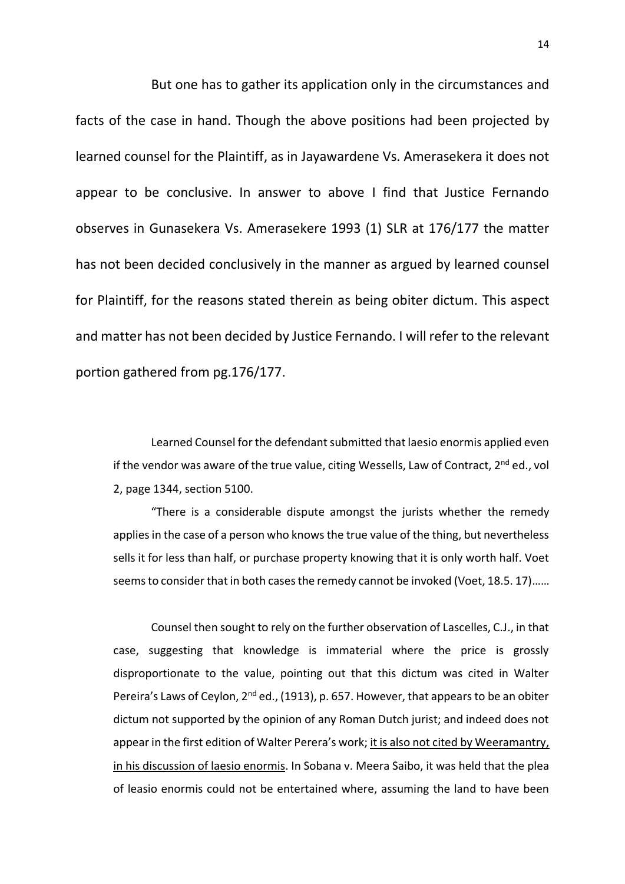But one has to gather its application only in the circumstances and facts of the case in hand. Though the above positions had been projected by learned counsel for the Plaintiff, as in Jayawardene Vs. Amerasekera it does not appear to be conclusive. In answer to above I find that Justice Fernando observes in Gunasekera Vs. Amerasekere 1993 (1) SLR at 176/177 the matter has not been decided conclusively in the manner as argued by learned counsel for Plaintiff, for the reasons stated therein as being obiter dictum. This aspect and matter has not been decided by Justice Fernando. I will refer to the relevant portion gathered from pg.176/177.

Learned Counsel for the defendant submitted that laesio enormis applied even if the vendor was aware of the true value, citing Wessells, Law of Contract,  $2^{nd}$  ed., vol 2, page 1344, section 5100.

"There is a considerable dispute amongst the jurists whether the remedy applies in the case of a person who knows the true value of the thing, but nevertheless sells it for less than half, or purchase property knowing that it is only worth half. Voet seems to consider that in both cases the remedy cannot be invoked (Voet, 18.5. 17)……

Counsel then sought to rely on the further observation of Lascelles, C.J., in that case, suggesting that knowledge is immaterial where the price is grossly disproportionate to the value, pointing out that this dictum was cited in Walter Pereira's Laws of Ceylon, 2<sup>nd</sup> ed., (1913), p. 657. However, that appears to be an obiter dictum not supported by the opinion of any Roman Dutch jurist; and indeed does not appear in the first edition of Walter Perera's work; it is also not cited by Weeramantry, in his discussion of laesio enormis. In Sobana v. Meera Saibo, it was held that the plea of leasio enormis could not be entertained where, assuming the land to have been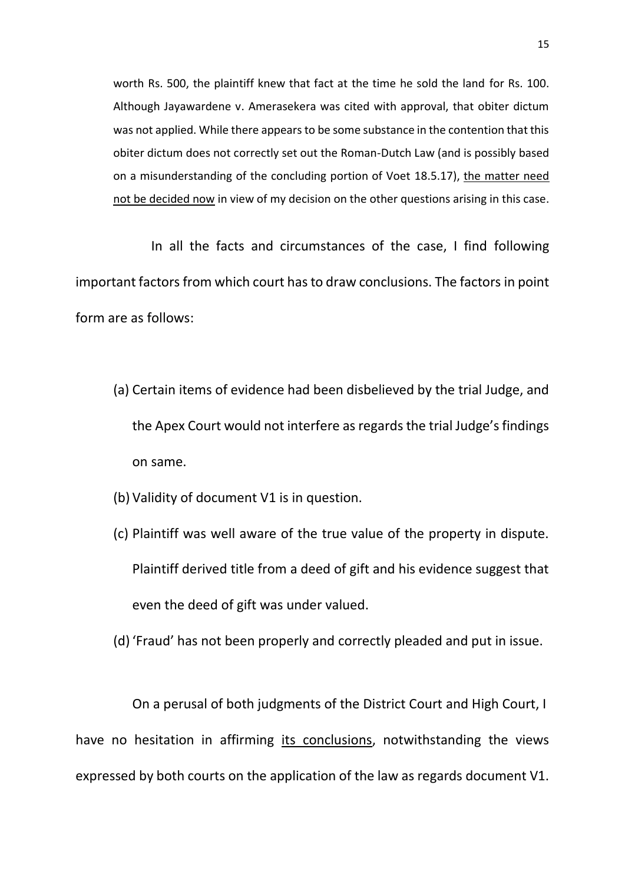worth Rs. 500, the plaintiff knew that fact at the time he sold the land for Rs. 100. Although Jayawardene v. Amerasekera was cited with approval, that obiter dictum was not applied. While there appears to be some substance in the contention that this obiter dictum does not correctly set out the Roman-Dutch Law (and is possibly based on a misunderstanding of the concluding portion of Voet 18.5.17), the matter need not be decided now in view of my decision on the other questions arising in this case.

In all the facts and circumstances of the case, I find following important factors from which court has to draw conclusions. The factors in point form are as follows:

- (a) Certain items of evidence had been disbelieved by the trial Judge, and the Apex Court would not interfere as regards the trial Judge's findings on same.
- (b) Validity of document V1 is in question.
- (c) Plaintiff was well aware of the true value of the property in dispute. Plaintiff derived title from a deed of gift and his evidence suggest that even the deed of gift was under valued.
- (d)'Fraud' has not been properly and correctly pleaded and put in issue.

On a perusal of both judgments of the District Court and High Court, I have no hesitation in affirming its conclusions, notwithstanding the views expressed by both courts on the application of the law as regards document V1.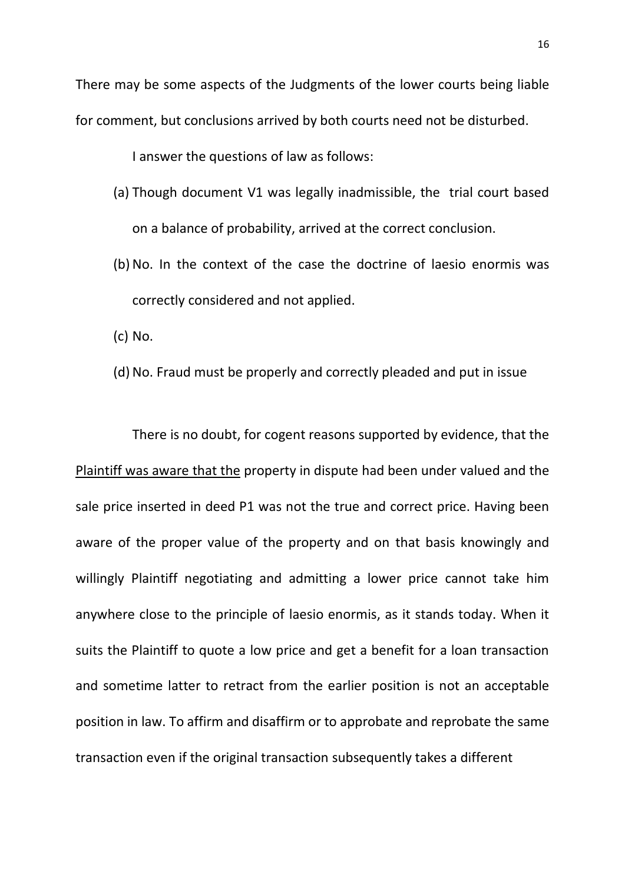There may be some aspects of the Judgments of the lower courts being liable for comment, but conclusions arrived by both courts need not be disturbed.

I answer the questions of law as follows:

- (a) Though document V1 was legally inadmissible, the trial court based on a balance of probability, arrived at the correct conclusion.
- (b)No. In the context of the case the doctrine of laesio enormis was correctly considered and not applied.

(c) No.

(d) No. Fraud must be properly and correctly pleaded and put in issue

There is no doubt, for cogent reasons supported by evidence, that the Plaintiff was aware that the property in dispute had been under valued and the sale price inserted in deed P1 was not the true and correct price. Having been aware of the proper value of the property and on that basis knowingly and willingly Plaintiff negotiating and admitting a lower price cannot take him anywhere close to the principle of laesio enormis, as it stands today. When it suits the Plaintiff to quote a low price and get a benefit for a loan transaction and sometime latter to retract from the earlier position is not an acceptable position in law. To affirm and disaffirm or to approbate and reprobate the same transaction even if the original transaction subsequently takes a different